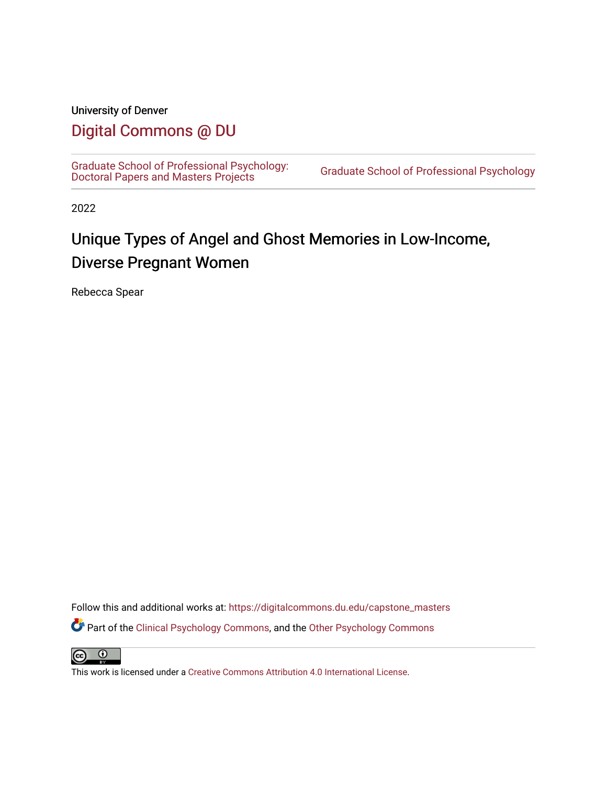## University of Denver

## [Digital Commons @ DU](https://digitalcommons.du.edu/)

[Graduate School of Professional Psychology:](https://digitalcommons.du.edu/capstone_masters) [Doctoral Papers and Masters Projects](https://digitalcommons.du.edu/capstone_masters) [Graduate School of Professional Psychology](https://digitalcommons.du.edu/gspp) 

2022

# Unique Types of Angel and Ghost Memories in Low-Income, Diverse Pregnant Women

Rebecca Spear

Follow this and additional works at: [https://digitalcommons.du.edu/capstone\\_masters](https://digitalcommons.du.edu/capstone_masters?utm_source=digitalcommons.du.edu%2Fcapstone_masters%2F438&utm_medium=PDF&utm_campaign=PDFCoverPages) Part of the [Clinical Psychology Commons,](http://network.bepress.com/hgg/discipline/406?utm_source=digitalcommons.du.edu%2Fcapstone_masters%2F438&utm_medium=PDF&utm_campaign=PDFCoverPages) and the [Other Psychology Commons](http://network.bepress.com/hgg/discipline/415?utm_source=digitalcommons.du.edu%2Fcapstone_masters%2F438&utm_medium=PDF&utm_campaign=PDFCoverPages)

 $\bullet$  $(cc)$ 

This work is licensed under a [Creative Commons Attribution 4.0 International License](https://creativecommons.org/licenses/by/4.0/).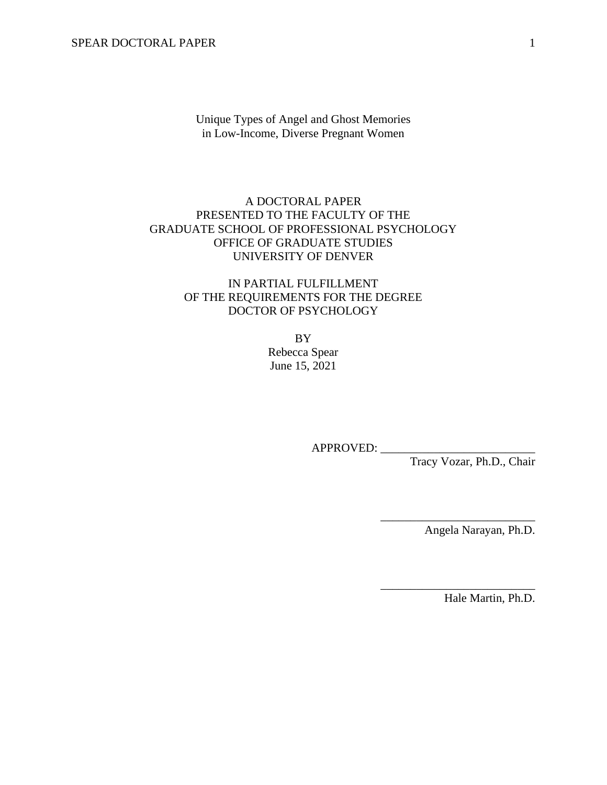Unique Types of Angel and Ghost Memories in Low-Income, Diverse Pregnant Women

## A DOCTORAL PAPER PRESENTED TO THE FACULTY OF THE GRADUATE SCHOOL OF PROFESSIONAL PSYCHOLOGY OFFICE OF GRADUATE STUDIES UNIVERSITY OF DENVER

## IN PARTIAL FULFILLMENT OF THE REQUIREMENTS FOR THE DEGREE DOCTOR OF PSYCHOLOGY

BY Rebecca Spear June 15, 2021

APPROVED:

Tracy Vozar, Ph.D., Chair

Angela Narayan, Ph.D.

\_\_\_\_\_\_\_\_\_\_\_\_\_\_\_\_\_\_\_\_\_\_\_\_\_\_

\_\_\_\_\_\_\_\_\_\_\_\_\_\_\_\_\_\_\_\_\_\_\_\_\_\_

Hale Martin, Ph.D.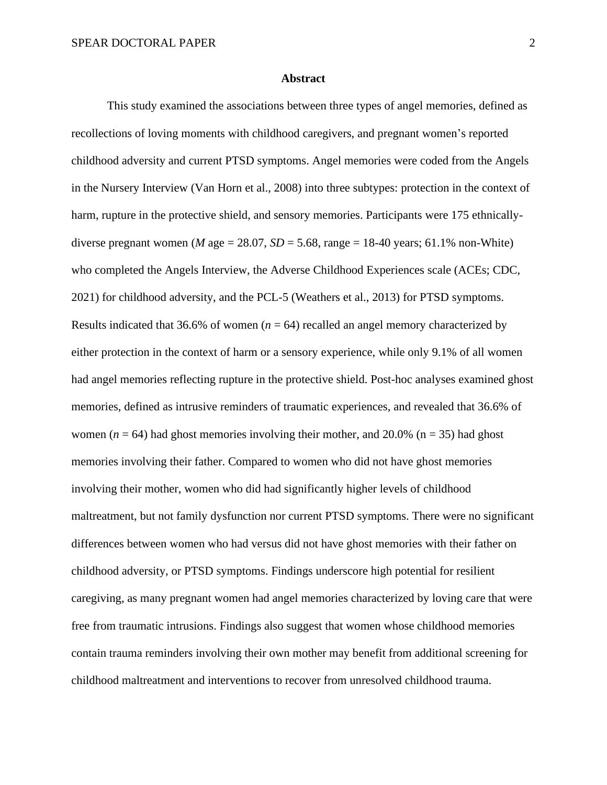#### **Abstract**

This study examined the associations between three types of angel memories, defined as recollections of loving moments with childhood caregivers, and pregnant women's reported childhood adversity and current PTSD symptoms. Angel memories were coded from the Angels in the Nursery Interview (Van Horn et al., 2008) into three subtypes: protection in the context of harm, rupture in the protective shield, and sensory memories. Participants were 175 ethnicallydiverse pregnant women (*M* age = 28.07,  $SD = 5.68$ , range = 18-40 years; 61.1% non-White) who completed the Angels Interview, the Adverse Childhood Experiences scale (ACEs; CDC, 2021) for childhood adversity, and the PCL-5 (Weathers et al., 2013) for PTSD symptoms. Results indicated that 36.6% of women  $(n = 64)$  recalled an angel memory characterized by either protection in the context of harm or a sensory experience, while only 9.1% of all women had angel memories reflecting rupture in the protective shield. Post-hoc analyses examined ghost memories, defined as intrusive reminders of traumatic experiences, and revealed that 36.6% of women ( $n = 64$ ) had ghost memories involving their mother, and 20.0% ( $n = 35$ ) had ghost memories involving their father. Compared to women who did not have ghost memories involving their mother, women who did had significantly higher levels of childhood maltreatment, but not family dysfunction nor current PTSD symptoms. There were no significant differences between women who had versus did not have ghost memories with their father on childhood adversity, or PTSD symptoms. Findings underscore high potential for resilient caregiving, as many pregnant women had angel memories characterized by loving care that were free from traumatic intrusions. Findings also suggest that women whose childhood memories contain trauma reminders involving their own mother may benefit from additional screening for childhood maltreatment and interventions to recover from unresolved childhood trauma.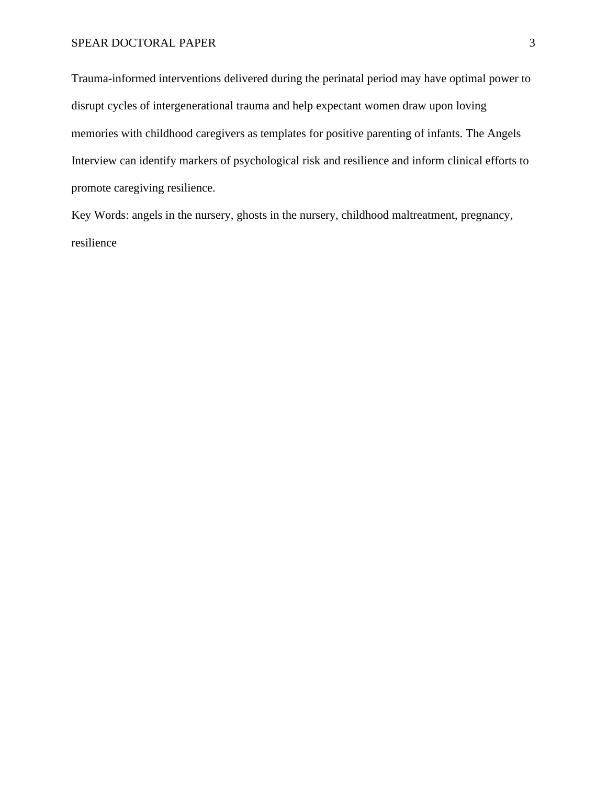Trauma-informed interventions delivered during the perinatal period may have optimal power to disrupt cycles of intergenerational trauma and help expectant women draw upon loving memories with childhood caregivers as templates for positive parenting of infants. The Angels Interview can identify markers of psychological risk and resilience and inform clinical efforts to promote caregiving resilience.

Key Words: angels in the nursery, ghosts in the nursery, childhood maltreatment, pregnancy, resilience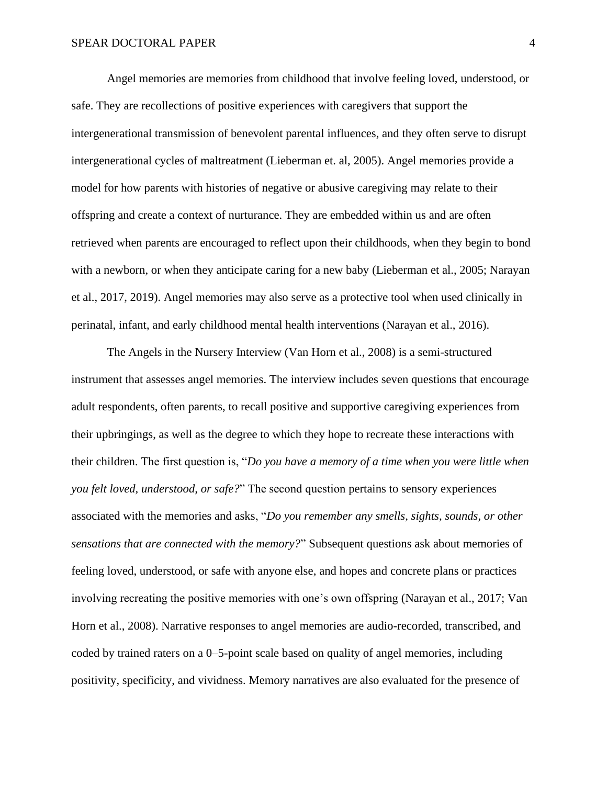Angel memories are memories from childhood that involve feeling loved, understood, or safe. They are recollections of positive experiences with caregivers that support the intergenerational transmission of benevolent parental influences, and they often serve to disrupt intergenerational cycles of maltreatment (Lieberman et. al, 2005). Angel memories provide a model for how parents with histories of negative or abusive caregiving may relate to their offspring and create a context of nurturance. They are embedded within us and are often retrieved when parents are encouraged to reflect upon their childhoods, when they begin to bond with a newborn, or when they anticipate caring for a new baby (Lieberman et al., 2005; Narayan et al., 2017, 2019). Angel memories may also serve as a protective tool when used clinically in perinatal, infant, and early childhood mental health interventions (Narayan et al., 2016).

The Angels in the Nursery Interview (Van Horn et al., 2008) is a semi-structured instrument that assesses angel memories. The interview includes seven questions that encourage adult respondents, often parents, to recall positive and supportive caregiving experiences from their upbringings, as well as the degree to which they hope to recreate these interactions with their children. The first question is, "*Do you have a memory of a time when you were little when you felt loved, understood, or safe?*" The second question pertains to sensory experiences associated with the memories and asks, "*Do you remember any smells, sights, sounds, or other sensations that are connected with the memory?*" Subsequent questions ask about memories of feeling loved, understood, or safe with anyone else, and hopes and concrete plans or practices involving recreating the positive memories with one's own offspring (Narayan et al., 2017; Van Horn et al., 2008). Narrative responses to angel memories are audio-recorded, transcribed, and coded by trained raters on a 0–5-point scale based on quality of angel memories, including positivity, specificity, and vividness. Memory narratives are also evaluated for the presence of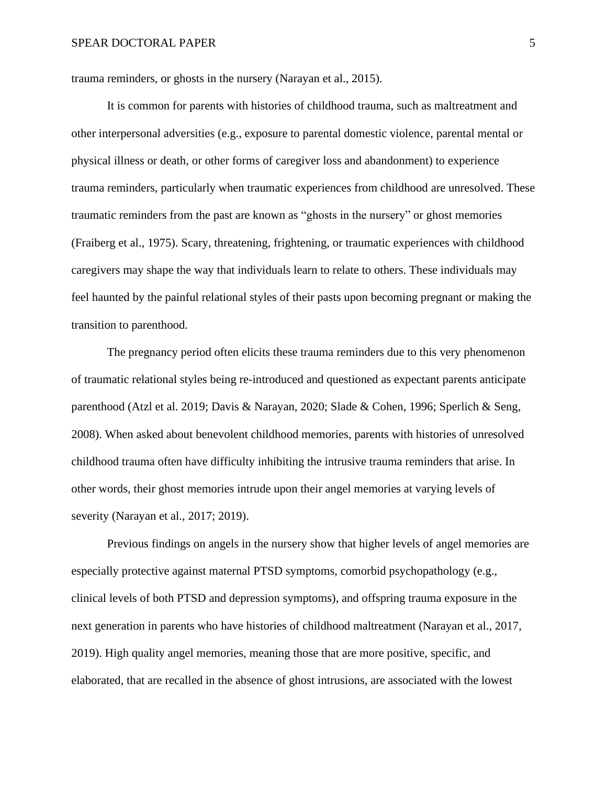trauma reminders, or ghosts in the nursery (Narayan et al., 2015).

It is common for parents with histories of childhood trauma, such as maltreatment and other interpersonal adversities (e.g., exposure to parental domestic violence, parental mental or physical illness or death, or other forms of caregiver loss and abandonment) to experience trauma reminders, particularly when traumatic experiences from childhood are unresolved. These traumatic reminders from the past are known as "ghosts in the nursery" or ghost memories (Fraiberg et al., 1975). Scary, threatening, frightening, or traumatic experiences with childhood caregivers may shape the way that individuals learn to relate to others. These individuals may feel haunted by the painful relational styles of their pasts upon becoming pregnant or making the transition to parenthood.

The pregnancy period often elicits these trauma reminders due to this very phenomenon of traumatic relational styles being re-introduced and questioned as expectant parents anticipate parenthood (Atzl et al. 2019; Davis & Narayan, 2020; Slade & Cohen, 1996; Sperlich & Seng, 2008). When asked about benevolent childhood memories, parents with histories of unresolved childhood trauma often have difficulty inhibiting the intrusive trauma reminders that arise. In other words, their ghost memories intrude upon their angel memories at varying levels of severity (Narayan et al., 2017; 2019).

Previous findings on angels in the nursery show that higher levels of angel memories are especially protective against maternal PTSD symptoms, comorbid psychopathology (e.g., clinical levels of both PTSD and depression symptoms), and offspring trauma exposure in the next generation in parents who have histories of childhood maltreatment (Narayan et al., 2017, 2019). High quality angel memories, meaning those that are more positive, specific, and elaborated, that are recalled in the absence of ghost intrusions, are associated with the lowest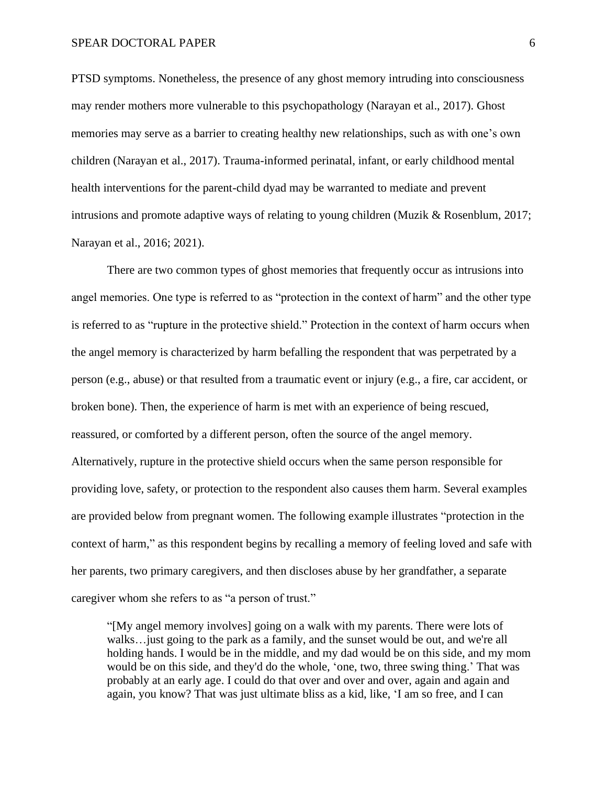PTSD symptoms. Nonetheless, the presence of any ghost memory intruding into consciousness may render mothers more vulnerable to this psychopathology (Narayan et al., 2017). Ghost memories may serve as a barrier to creating healthy new relationships, such as with one's own children (Narayan et al., 2017). Trauma-informed perinatal, infant, or early childhood mental health interventions for the parent-child dyad may be warranted to mediate and prevent intrusions and promote adaptive ways of relating to young children (Muzik & Rosenblum, 2017; Narayan et al., 2016; 2021).

There are two common types of ghost memories that frequently occur as intrusions into angel memories. One type is referred to as "protection in the context of harm" and the other type is referred to as "rupture in the protective shield." Protection in the context of harm occurs when the angel memory is characterized by harm befalling the respondent that was perpetrated by a person (e.g., abuse) or that resulted from a traumatic event or injury (e.g., a fire, car accident, or broken bone). Then, the experience of harm is met with an experience of being rescued, reassured, or comforted by a different person, often the source of the angel memory. Alternatively, rupture in the protective shield occurs when the same person responsible for providing love, safety, or protection to the respondent also causes them harm. Several examples are provided below from pregnant women. The following example illustrates "protection in the context of harm," as this respondent begins by recalling a memory of feeling loved and safe with her parents, two primary caregivers, and then discloses abuse by her grandfather, a separate caregiver whom she refers to as "a person of trust."

"[My angel memory involves] going on a walk with my parents. There were lots of walks…just going to the park as a family, and the sunset would be out, and we're all holding hands. I would be in the middle, and my dad would be on this side, and my mom would be on this side, and they'd do the whole, 'one, two, three swing thing.' That was probably at an early age. I could do that over and over and over, again and again and again, you know? That was just ultimate bliss as a kid, like, 'I am so free, and I can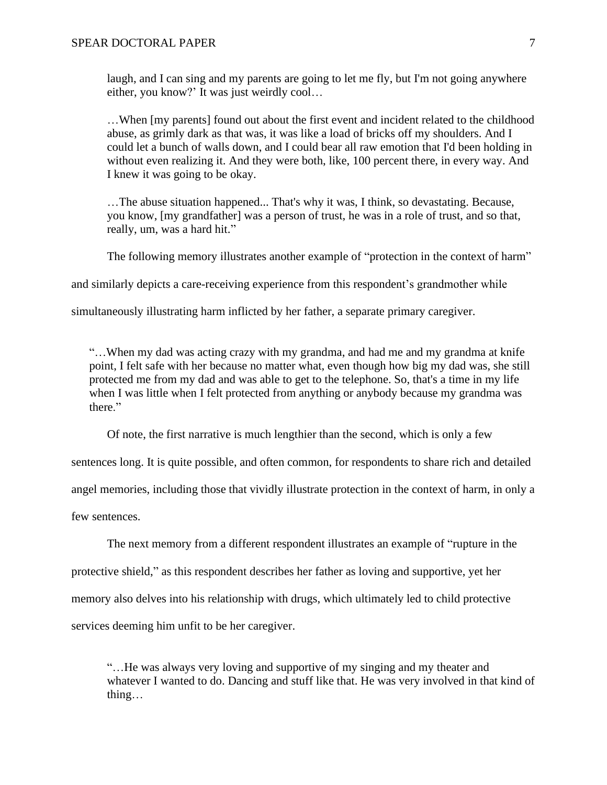laugh, and I can sing and my parents are going to let me fly, but I'm not going anywhere either, you know?' It was just weirdly cool…

…When [my parents] found out about the first event and incident related to the childhood abuse, as grimly dark as that was, it was like a load of bricks off my shoulders. And I could let a bunch of walls down, and I could bear all raw emotion that I'd been holding in without even realizing it. And they were both, like, 100 percent there, in every way. And I knew it was going to be okay.

…The abuse situation happened... That's why it was, I think, so devastating. Because, you know, [my grandfather] was a person of trust, he was in a role of trust, and so that, really, um, was a hard hit."

The following memory illustrates another example of "protection in the context of harm"

and similarly depicts a care-receiving experience from this respondent's grandmother while

simultaneously illustrating harm inflicted by her father, a separate primary caregiver.

"…When my dad was acting crazy with my grandma, and had me and my grandma at knife point, I felt safe with her because no matter what, even though how big my dad was, she still protected me from my dad and was able to get to the telephone. So, that's a time in my life when I was little when I felt protected from anything or anybody because my grandma was there."

Of note, the first narrative is much lengthier than the second, which is only a few

sentences long. It is quite possible, and often common, for respondents to share rich and detailed

angel memories, including those that vividly illustrate protection in the context of harm, in only a

few sentences.

The next memory from a different respondent illustrates an example of "rupture in the protective shield," as this respondent describes her father as loving and supportive, yet her memory also delves into his relationship with drugs, which ultimately led to child protective services deeming him unfit to be her caregiver.

"…He was always very loving and supportive of my singing and my theater and whatever I wanted to do. Dancing and stuff like that. He was very involved in that kind of thing…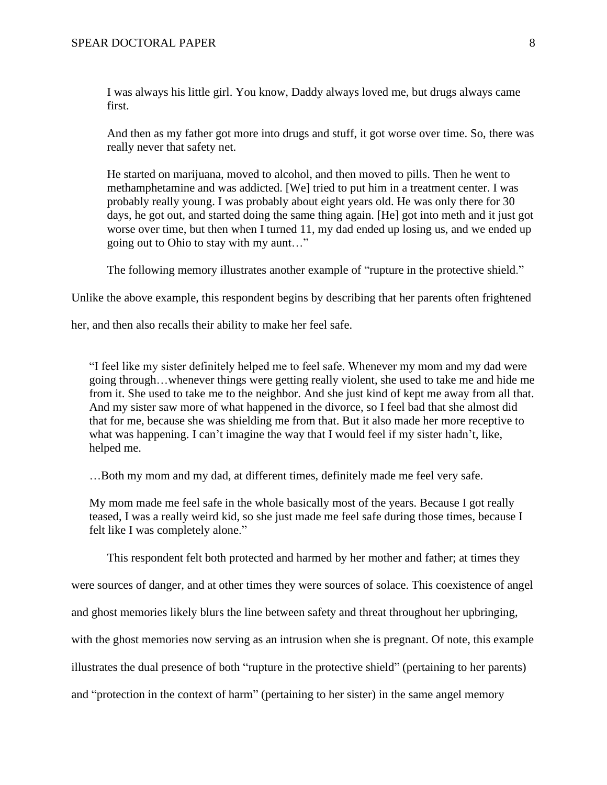I was always his little girl. You know, Daddy always loved me, but drugs always came first.

And then as my father got more into drugs and stuff, it got worse over time. So, there was really never that safety net.

He started on marijuana, moved to alcohol, and then moved to pills. Then he went to methamphetamine and was addicted. [We] tried to put him in a treatment center. I was probably really young. I was probably about eight years old. He was only there for 30 days, he got out, and started doing the same thing again. [He] got into meth and it just got worse over time, but then when I turned 11, my dad ended up losing us, and we ended up going out to Ohio to stay with my aunt…"

The following memory illustrates another example of "rupture in the protective shield."

Unlike the above example, this respondent begins by describing that her parents often frightened

her, and then also recalls their ability to make her feel safe.

"I feel like my sister definitely helped me to feel safe. Whenever my mom and my dad were going through…whenever things were getting really violent, she used to take me and hide me from it. She used to take me to the neighbor. And she just kind of kept me away from all that. And my sister saw more of what happened in the divorce, so I feel bad that she almost did that for me, because she was shielding me from that. But it also made her more receptive to what was happening. I can't imagine the way that I would feel if my sister hadn't, like, helped me.

…Both my mom and my dad, at different times, definitely made me feel very safe.

My mom made me feel safe in the whole basically most of the years. Because I got really teased, I was a really weird kid, so she just made me feel safe during those times, because I felt like I was completely alone."

This respondent felt both protected and harmed by her mother and father; at times they

were sources of danger, and at other times they were sources of solace. This coexistence of angel

and ghost memories likely blurs the line between safety and threat throughout her upbringing,

with the ghost memories now serving as an intrusion when she is pregnant. Of note, this example

illustrates the dual presence of both "rupture in the protective shield" (pertaining to her parents)

and "protection in the context of harm" (pertaining to her sister) in the same angel memory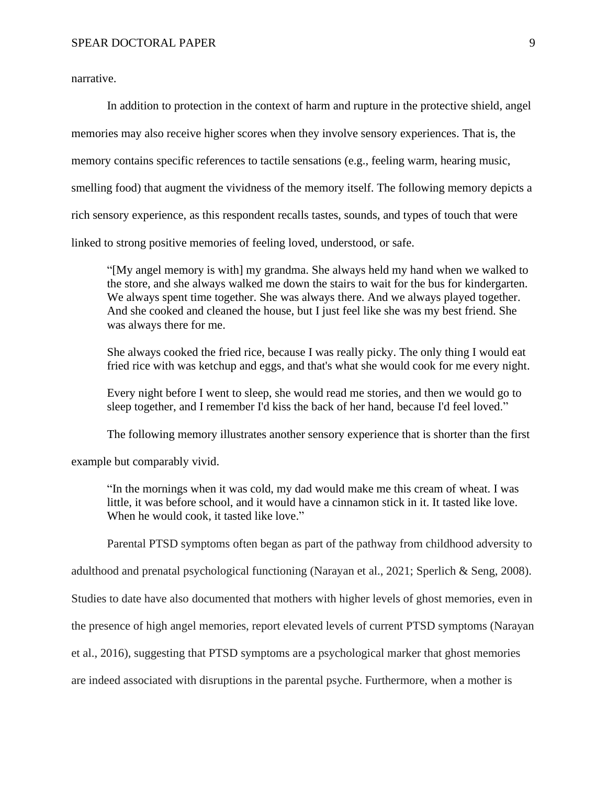narrative.

In addition to protection in the context of harm and rupture in the protective shield, angel memories may also receive higher scores when they involve sensory experiences. That is, the memory contains specific references to tactile sensations (e.g., feeling warm, hearing music, smelling food) that augment the vividness of the memory itself. The following memory depicts a rich sensory experience, as this respondent recalls tastes, sounds, and types of touch that were linked to strong positive memories of feeling loved, understood, or safe.

"[My angel memory is with] my grandma. She always held my hand when we walked to the store, and she always walked me down the stairs to wait for the bus for kindergarten. We always spent time together. She was always there. And we always played together. And she cooked and cleaned the house, but I just feel like she was my best friend. She was always there for me.

She always cooked the fried rice, because I was really picky. The only thing I would eat fried rice with was ketchup and eggs, and that's what she would cook for me every night.

Every night before I went to sleep, she would read me stories, and then we would go to sleep together, and I remember I'd kiss the back of her hand, because I'd feel loved."

The following memory illustrates another sensory experience that is shorter than the first

example but comparably vivid.

"In the mornings when it was cold, my dad would make me this cream of wheat. I was little, it was before school, and it would have a cinnamon stick in it. It tasted like love. When he would cook, it tasted like love."

Parental PTSD symptoms often began as part of the pathway from childhood adversity to

adulthood and prenatal psychological functioning (Narayan et al., 2021; Sperlich & Seng, 2008).

Studies to date have also documented that mothers with higher levels of ghost memories, even in

the presence of high angel memories, report elevated levels of current PTSD symptoms (Narayan

et al., 2016), suggesting that PTSD symptoms are a psychological marker that ghost memories

are indeed associated with disruptions in the parental psyche. Furthermore, when a mother is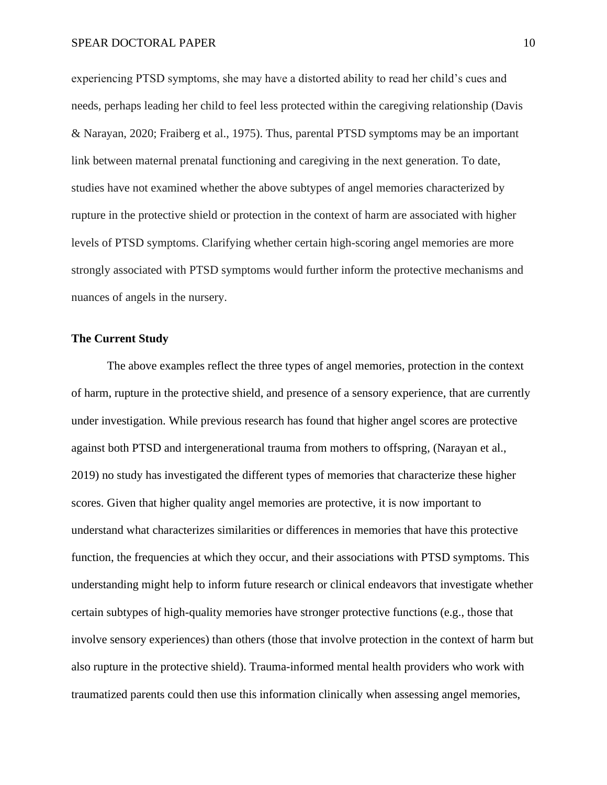experiencing PTSD symptoms, she may have a distorted ability to read her child's cues and needs, perhaps leading her child to feel less protected within the caregiving relationship (Davis & Narayan, 2020; Fraiberg et al., 1975). Thus, parental PTSD symptoms may be an important link between maternal prenatal functioning and caregiving in the next generation. To date, studies have not examined whether the above subtypes of angel memories characterized by rupture in the protective shield or protection in the context of harm are associated with higher levels of PTSD symptoms. Clarifying whether certain high-scoring angel memories are more strongly associated with PTSD symptoms would further inform the protective mechanisms and nuances of angels in the nursery.

## **The Current Study**

The above examples reflect the three types of angel memories, protection in the context of harm, rupture in the protective shield, and presence of a sensory experience, that are currently under investigation. While previous research has found that higher angel scores are protective against both PTSD and intergenerational trauma from mothers to offspring, (Narayan et al., 2019) no study has investigated the different types of memories that characterize these higher scores. Given that higher quality angel memories are protective, it is now important to understand what characterizes similarities or differences in memories that have this protective function, the frequencies at which they occur, and their associations with PTSD symptoms. This understanding might help to inform future research or clinical endeavors that investigate whether certain subtypes of high-quality memories have stronger protective functions (e.g., those that involve sensory experiences) than others (those that involve protection in the context of harm but also rupture in the protective shield). Trauma-informed mental health providers who work with traumatized parents could then use this information clinically when assessing angel memories,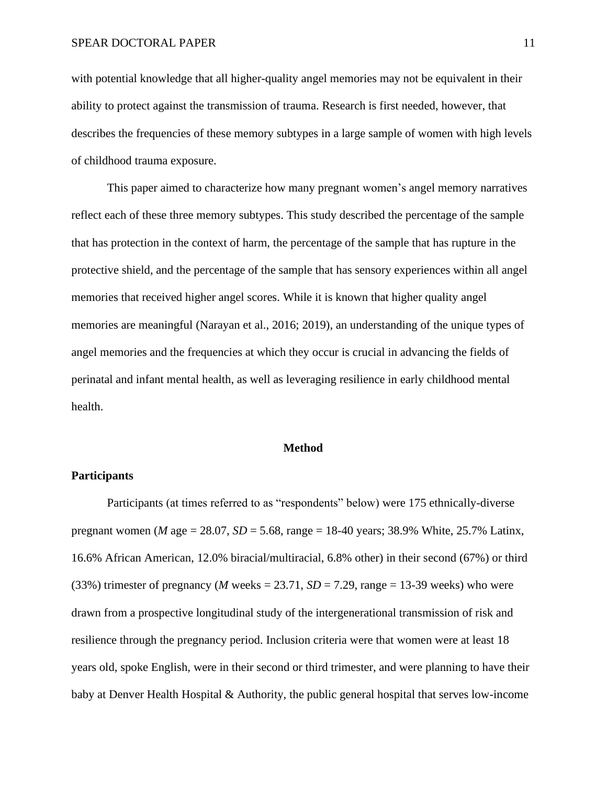with potential knowledge that all higher-quality angel memories may not be equivalent in their ability to protect against the transmission of trauma. Research is first needed, however, that describes the frequencies of these memory subtypes in a large sample of women with high levels of childhood trauma exposure.

This paper aimed to characterize how many pregnant women's angel memory narratives reflect each of these three memory subtypes. This study described the percentage of the sample that has protection in the context of harm, the percentage of the sample that has rupture in the protective shield, and the percentage of the sample that has sensory experiences within all angel memories that received higher angel scores. While it is known that higher quality angel memories are meaningful (Narayan et al., 2016; 2019), an understanding of the unique types of angel memories and the frequencies at which they occur is crucial in advancing the fields of perinatal and infant mental health, as well as leveraging resilience in early childhood mental health.

#### **Method**

#### **Participants**

Participants (at times referred to as "respondents" below) were 175 ethnically-diverse pregnant women (*M* age = 28.07, *SD* = 5.68, range = 18-40 years; 38.9% White, 25.7% Latinx, 16.6% African American, 12.0% biracial/multiracial, 6.8% other) in their second (67%) or third (33%) trimester of pregnancy (*M* weeks = 23.71,  $SD = 7.29$ , range = 13-39 weeks) who were drawn from a prospective longitudinal study of the intergenerational transmission of risk and resilience through the pregnancy period. Inclusion criteria were that women were at least 18 years old, spoke English, were in their second or third trimester, and were planning to have their baby at Denver Health Hospital & Authority, the public general hospital that serves low-income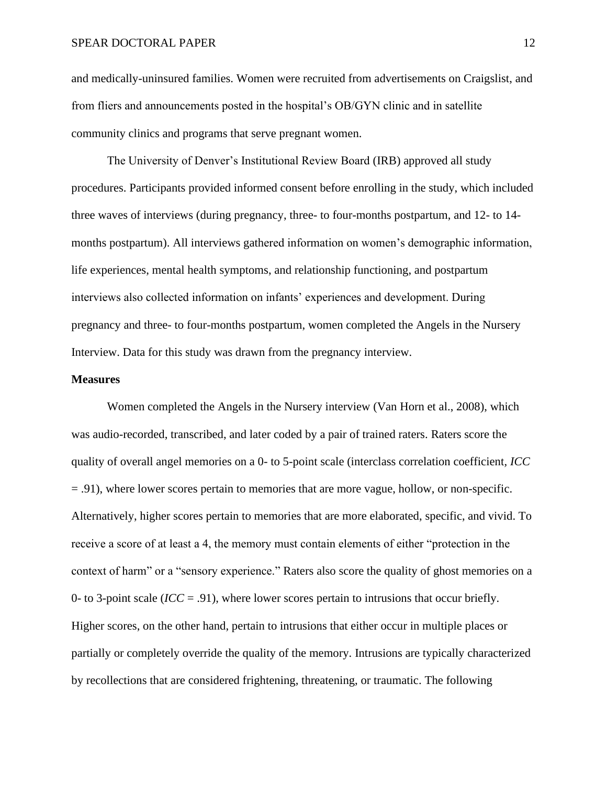and medically-uninsured families. Women were recruited from advertisements on Craigslist, and from fliers and announcements posted in the hospital's OB/GYN clinic and in satellite community clinics and programs that serve pregnant women.

The University of Denver's Institutional Review Board (IRB) approved all study procedures. Participants provided informed consent before enrolling in the study, which included three waves of interviews (during pregnancy, three- to four-months postpartum, and 12- to 14 months postpartum). All interviews gathered information on women's demographic information, life experiences, mental health symptoms, and relationship functioning, and postpartum interviews also collected information on infants' experiences and development. During pregnancy and three- to four-months postpartum, women completed the Angels in the Nursery Interview. Data for this study was drawn from the pregnancy interview.

#### **Measures**

Women completed the Angels in the Nursery interview (Van Horn et al., 2008), which was audio-recorded, transcribed, and later coded by a pair of trained raters. Raters score the quality of overall angel memories on a 0- to 5-point scale (interclass correlation coefficient*, ICC* = .91), where lower scores pertain to memories that are more vague, hollow, or non-specific. Alternatively, higher scores pertain to memories that are more elaborated, specific, and vivid. To receive a score of at least a 4, the memory must contain elements of either "protection in the context of harm" or a "sensory experience." Raters also score the quality of ghost memories on a 0- to 3-point scale (*ICC* = .91), where lower scores pertain to intrusions that occur briefly. Higher scores, on the other hand, pertain to intrusions that either occur in multiple places or partially or completely override the quality of the memory. Intrusions are typically characterized by recollections that are considered frightening, threatening, or traumatic. The following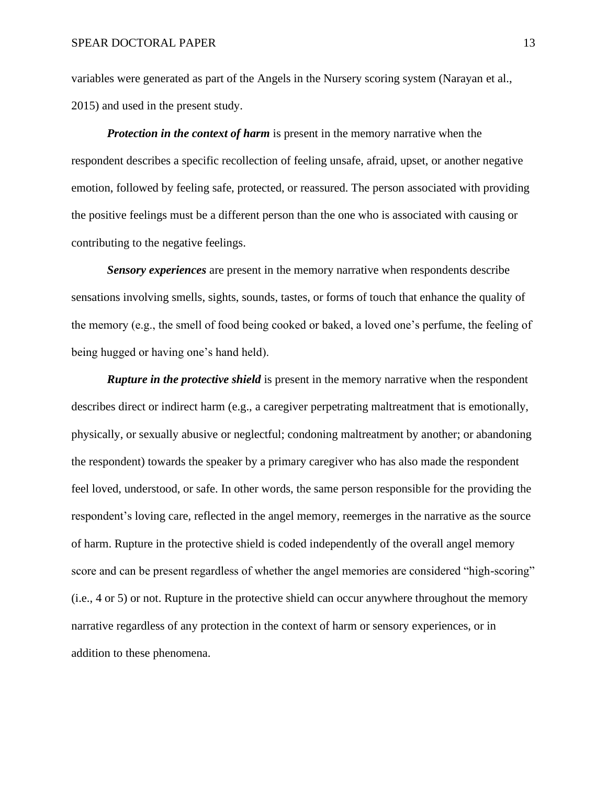variables were generated as part of the Angels in the Nursery scoring system (Narayan et al., 2015) and used in the present study.

*Protection in the context of harm* is present in the memory narrative when the respondent describes a specific recollection of feeling unsafe, afraid, upset, or another negative emotion, followed by feeling safe, protected, or reassured. The person associated with providing the positive feelings must be a different person than the one who is associated with causing or contributing to the negative feelings.

*Sensory experiences* are present in the memory narrative when respondents describe sensations involving smells, sights, sounds, tastes, or forms of touch that enhance the quality of the memory (e.g., the smell of food being cooked or baked, a loved one's perfume, the feeling of being hugged or having one's hand held).

*Rupture in the protective shield* is present in the memory narrative when the respondent describes direct or indirect harm (e.g., a caregiver perpetrating maltreatment that is emotionally, physically, or sexually abusive or neglectful; condoning maltreatment by another; or abandoning the respondent) towards the speaker by a primary caregiver who has also made the respondent feel loved, understood, or safe. In other words, the same person responsible for the providing the respondent's loving care, reflected in the angel memory, reemerges in the narrative as the source of harm. Rupture in the protective shield is coded independently of the overall angel memory score and can be present regardless of whether the angel memories are considered "high-scoring" (i.e., 4 or 5) or not. Rupture in the protective shield can occur anywhere throughout the memory narrative regardless of any protection in the context of harm or sensory experiences, or in addition to these phenomena.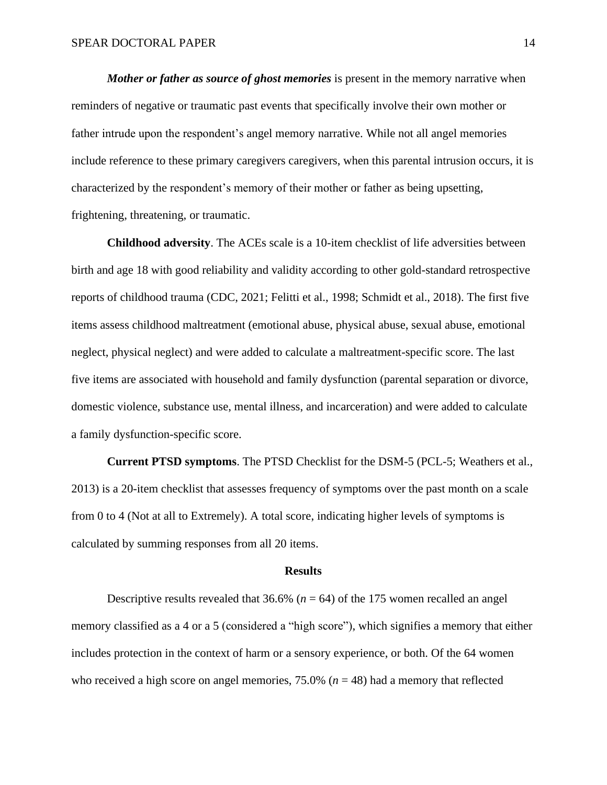*Mother or father as source of ghost memories* is present in the memory narrative when reminders of negative or traumatic past events that specifically involve their own mother or father intrude upon the respondent's angel memory narrative. While not all angel memories include reference to these primary caregivers caregivers, when this parental intrusion occurs, it is characterized by the respondent's memory of their mother or father as being upsetting, frightening, threatening, or traumatic.

**Childhood adversity**. The ACEs scale is a 10-item checklist of life adversities between birth and age 18 with good reliability and validity according to other gold-standard retrospective reports of childhood trauma (CDC, 2021; Felitti et al., 1998; Schmidt et al., 2018). The first five items assess childhood maltreatment (emotional abuse, physical abuse, sexual abuse, emotional neglect, physical neglect) and were added to calculate a maltreatment-specific score. The last five items are associated with household and family dysfunction (parental separation or divorce, domestic violence, substance use, mental illness, and incarceration) and were added to calculate a family dysfunction-specific score.

**Current PTSD symptoms**. The PTSD Checklist for the DSM-5 (PCL-5; Weathers et al., 2013) is a 20-item checklist that assesses frequency of symptoms over the past month on a scale from 0 to 4 (Not at all to Extremely). A total score, indicating higher levels of symptoms is calculated by summing responses from all 20 items.

#### **Results**

Descriptive results revealed that 36.6% (*n* = 64) of the 175 women recalled an angel memory classified as a 4 or a 5 (considered a "high score"), which signifies a memory that either includes protection in the context of harm or a sensory experience, or both. Of the 64 women who received a high score on angel memories,  $75.0\%$  ( $n = 48$ ) had a memory that reflected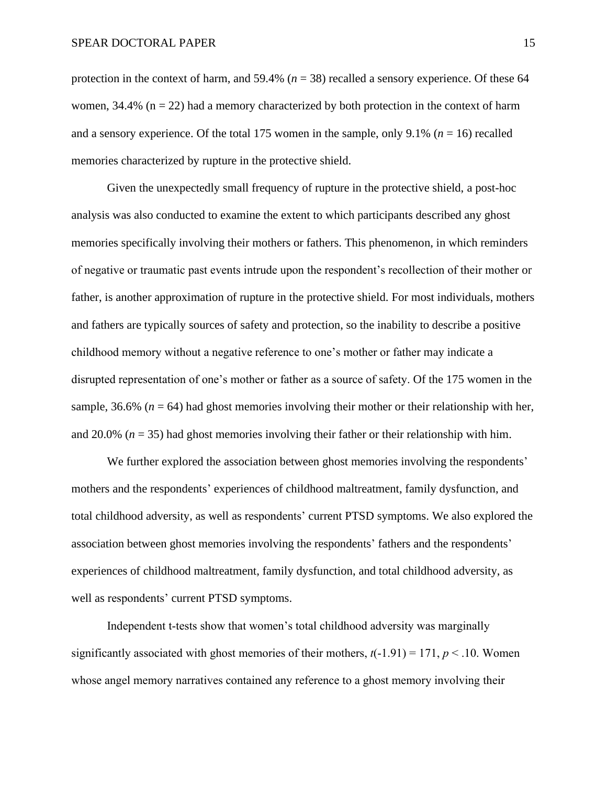protection in the context of harm, and 59.4% (*n* = 38) recalled a sensory experience. Of these 64 women,  $34.4\%$  (n = 22) had a memory characterized by both protection in the context of harm and a sensory experience. Of the total 175 women in the sample, only  $9.1\%$  ( $n = 16$ ) recalled memories characterized by rupture in the protective shield.

Given the unexpectedly small frequency of rupture in the protective shield, a post-hoc analysis was also conducted to examine the extent to which participants described any ghost memories specifically involving their mothers or fathers. This phenomenon, in which reminders of negative or traumatic past events intrude upon the respondent's recollection of their mother or father, is another approximation of rupture in the protective shield. For most individuals, mothers and fathers are typically sources of safety and protection, so the inability to describe a positive childhood memory without a negative reference to one's mother or father may indicate a disrupted representation of one's mother or father as a source of safety. Of the 175 women in the sample,  $36.6\%$  ( $n = 64$ ) had ghost memories involving their mother or their relationship with her, and 20.0% (*n* = 35) had ghost memories involving their father or their relationship with him.

We further explored the association between ghost memories involving the respondents' mothers and the respondents' experiences of childhood maltreatment, family dysfunction, and total childhood adversity, as well as respondents' current PTSD symptoms. We also explored the association between ghost memories involving the respondents' fathers and the respondents' experiences of childhood maltreatment, family dysfunction, and total childhood adversity, as well as respondents' current PTSD symptoms.

Independent t-tests show that women's total childhood adversity was marginally significantly associated with ghost memories of their mothers,  $t(-1.91) = 171$ ,  $p < .10$ . Women whose angel memory narratives contained any reference to a ghost memory involving their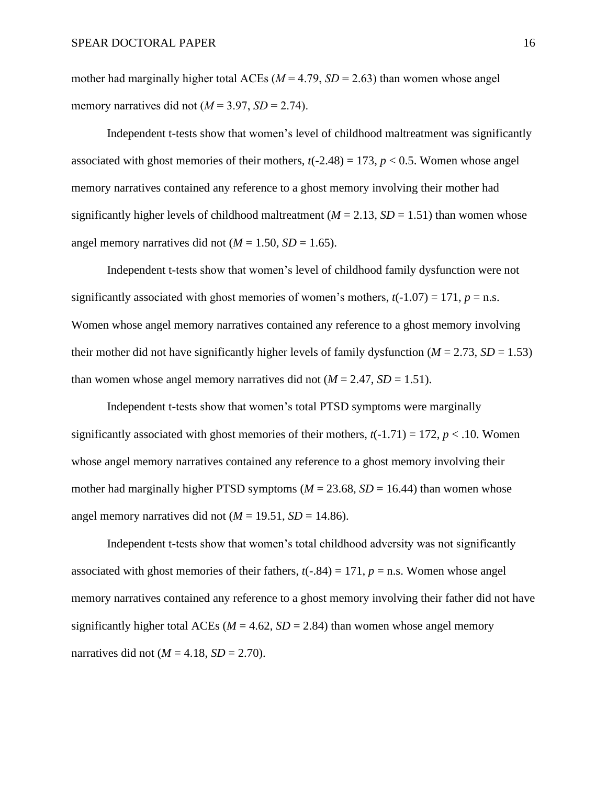mother had marginally higher total ACEs ( $M = 4.79$ ,  $SD = 2.63$ ) than women whose angel memory narratives did not  $(M = 3.97, SD = 2.74)$ .

Independent t-tests show that women's level of childhood maltreatment was significantly associated with ghost memories of their mothers,  $t(-2.48) = 173$ ,  $p < 0.5$ . Women whose angel memory narratives contained any reference to a ghost memory involving their mother had significantly higher levels of childhood maltreatment ( $M = 2.13$ ,  $SD = 1.51$ ) than women whose angel memory narratives did not  $(M = 1.50, SD = 1.65)$ .

Independent t-tests show that women's level of childhood family dysfunction were not significantly associated with ghost memories of women's mothers,  $t(-1.07) = 171$ ,  $p = n.s$ . Women whose angel memory narratives contained any reference to a ghost memory involving their mother did not have significantly higher levels of family dysfunction ( $M = 2.73$ ,  $SD = 1.53$ ) than women whose angel memory narratives did not  $(M = 2.47, SD = 1.51)$ .

Independent t-tests show that women's total PTSD symptoms were marginally significantly associated with ghost memories of their mothers,  $t(-1.71) = 172$ ,  $p < .10$ . Women whose angel memory narratives contained any reference to a ghost memory involving their mother had marginally higher PTSD symptoms ( $M = 23.68$ ,  $SD = 16.44$ ) than women whose angel memory narratives did not  $(M = 19.51, SD = 14.86)$ .

Independent t-tests show that women's total childhood adversity was not significantly associated with ghost memories of their fathers,  $t(-.84) = 171$ ,  $p = n.s$ . Women whose angel memory narratives contained any reference to a ghost memory involving their father did not have significantly higher total ACEs ( $M = 4.62$ ,  $SD = 2.84$ ) than women whose angel memory narratives did not  $(M = 4.18, SD = 2.70)$ .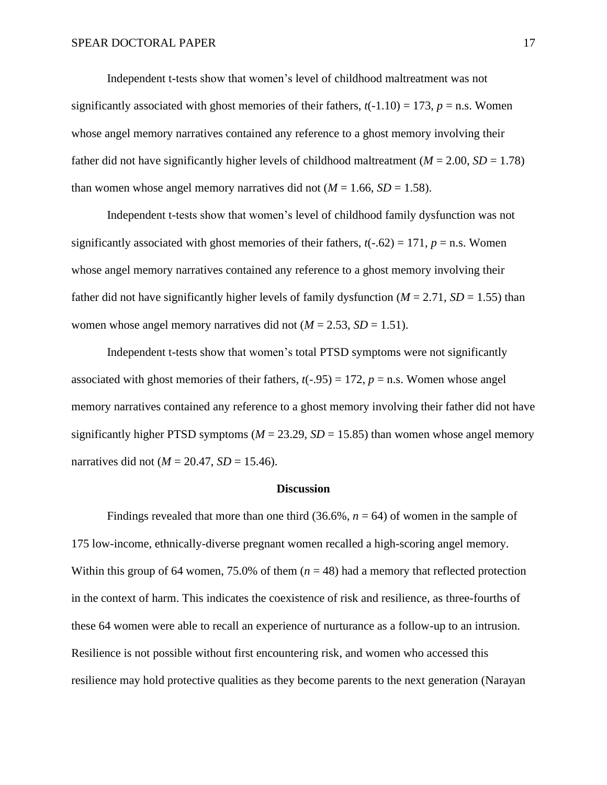Independent t-tests show that women's level of childhood maltreatment was not significantly associated with ghost memories of their fathers,  $t(-1.10) = 173$ ,  $p =$ n.s. Women whose angel memory narratives contained any reference to a ghost memory involving their father did not have significantly higher levels of childhood maltreatment ( $M = 2.00$ ,  $SD = 1.78$ ) than women whose angel memory narratives did not  $(M = 1.66, SD = 1.58)$ .

Independent t-tests show that women's level of childhood family dysfunction was not significantly associated with ghost memories of their fathers,  $t(-.62) = 171$ ,  $p = n.s$ . Women whose angel memory narratives contained any reference to a ghost memory involving their father did not have significantly higher levels of family dysfunction ( $M = 2.71$ ,  $SD = 1.55$ ) than women whose angel memory narratives did not  $(M = 2.53, SD = 1.51)$ .

Independent t-tests show that women's total PTSD symptoms were not significantly associated with ghost memories of their fathers,  $t(-.95) = 172$ ,  $p = n$ .s. Women whose angel memory narratives contained any reference to a ghost memory involving their father did not have significantly higher PTSD symptoms ( $M = 23.29$ ,  $SD = 15.85$ ) than women whose angel memory narratives did not ( $M = 20.47$ ,  $SD = 15.46$ ).

#### **Discussion**

Findings revealed that more than one third  $(36.6\%, n = 64)$  of women in the sample of 175 low-income, ethnically-diverse pregnant women recalled a high-scoring angel memory. Within this group of 64 women, 75.0% of them  $(n = 48)$  had a memory that reflected protection in the context of harm. This indicates the coexistence of risk and resilience, as three-fourths of these 64 women were able to recall an experience of nurturance as a follow-up to an intrusion. Resilience is not possible without first encountering risk, and women who accessed this resilience may hold protective qualities as they become parents to the next generation (Narayan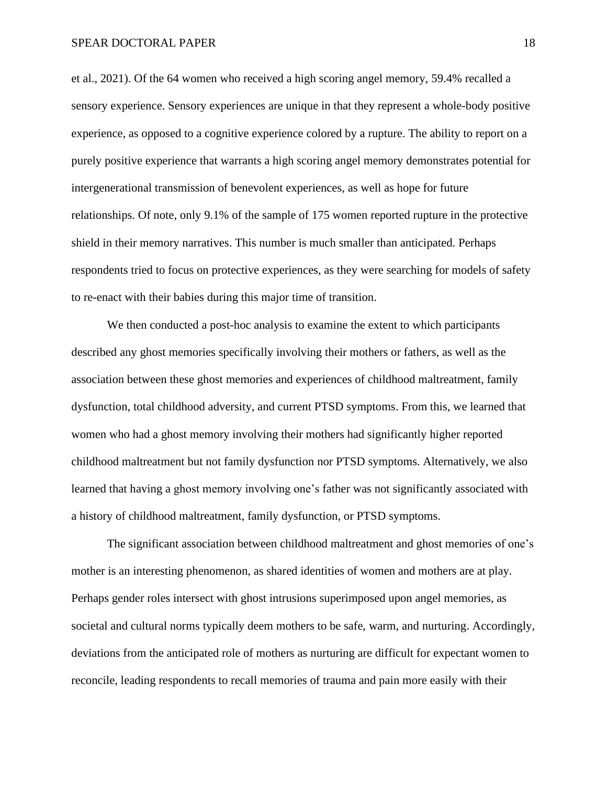et al., 2021). Of the 64 women who received a high scoring angel memory, 59.4% recalled a sensory experience. Sensory experiences are unique in that they represent a whole-body positive experience, as opposed to a cognitive experience colored by a rupture. The ability to report on a purely positive experience that warrants a high scoring angel memory demonstrates potential for intergenerational transmission of benevolent experiences, as well as hope for future relationships. Of note, only 9.1% of the sample of 175 women reported rupture in the protective shield in their memory narratives. This number is much smaller than anticipated. Perhaps respondents tried to focus on protective experiences, as they were searching for models of safety to re-enact with their babies during this major time of transition.

We then conducted a post-hoc analysis to examine the extent to which participants described any ghost memories specifically involving their mothers or fathers, as well as the association between these ghost memories and experiences of childhood maltreatment, family dysfunction, total childhood adversity, and current PTSD symptoms. From this, we learned that women who had a ghost memory involving their mothers had significantly higher reported childhood maltreatment but not family dysfunction nor PTSD symptoms. Alternatively, we also learned that having a ghost memory involving one's father was not significantly associated with a history of childhood maltreatment, family dysfunction, or PTSD symptoms.

The significant association between childhood maltreatment and ghost memories of one's mother is an interesting phenomenon, as shared identities of women and mothers are at play. Perhaps gender roles intersect with ghost intrusions superimposed upon angel memories, as societal and cultural norms typically deem mothers to be safe, warm, and nurturing. Accordingly, deviations from the anticipated role of mothers as nurturing are difficult for expectant women to reconcile, leading respondents to recall memories of trauma and pain more easily with their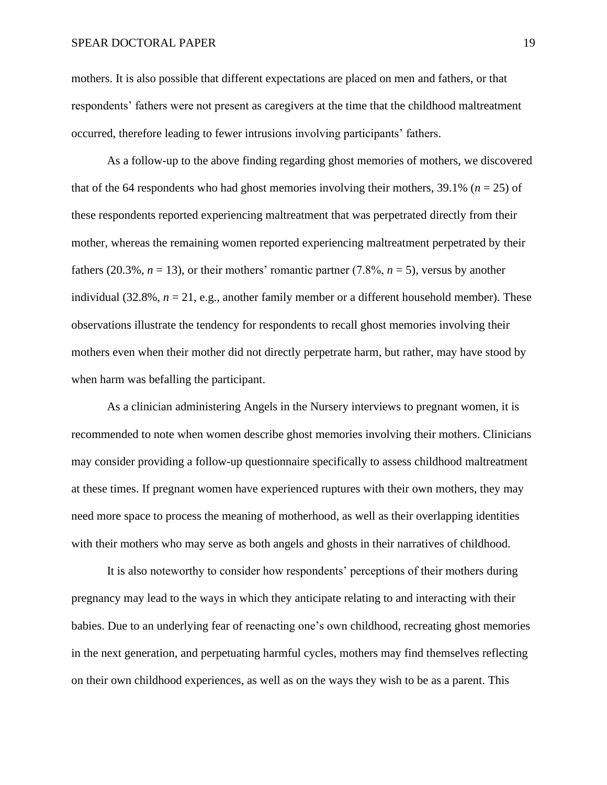mothers. It is also possible that different expectations are placed on men and fathers, or that respondents' fathers were not present as caregivers at the time that the childhood maltreatment occurred, therefore leading to fewer intrusions involving participants' fathers.

As a follow-up to the above finding regarding ghost memories of mothers, we discovered that of the 64 respondents who had ghost memories involving their mothers, 39.1% ( $n = 25$ ) of these respondents reported experiencing maltreatment that was perpetrated directly from their mother, whereas the remaining women reported experiencing maltreatment perpetrated by their fathers (20.3%,  $n = 13$ ), or their mothers' romantic partner (7.8%,  $n = 5$ ), versus by another individual (32.8%,  $n = 21$ , e.g., another family member or a different household member). These observations illustrate the tendency for respondents to recall ghost memories involving their mothers even when their mother did not directly perpetrate harm, but rather, may have stood by when harm was befalling the participant.

As a clinician administering Angels in the Nursery interviews to pregnant women, it is recommended to note when women describe ghost memories involving their mothers. Clinicians may consider providing a follow-up questionnaire specifically to assess childhood maltreatment at these times. If pregnant women have experienced ruptures with their own mothers, they may need more space to process the meaning of motherhood, as well as their overlapping identities with their mothers who may serve as both angels and ghosts in their narratives of childhood.

It is also noteworthy to consider how respondents' perceptions of their mothers during pregnancy may lead to the ways in which they anticipate relating to and interacting with their babies. Due to an underlying fear of reenacting one's own childhood, recreating ghost memories in the next generation, and perpetuating harmful cycles, mothers may find themselves reflecting on their own childhood experiences, as well as on the ways they wish to be as a parent. This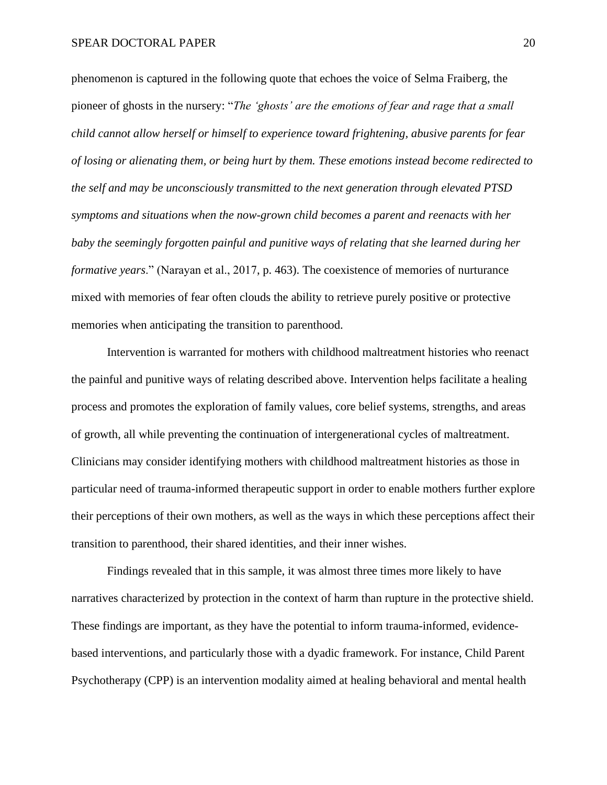phenomenon is captured in the following quote that echoes the voice of Selma Fraiberg, the pioneer of ghosts in the nursery: "*The 'ghosts' are the emotions of fear and rage that a small child cannot allow herself or himself to experience toward frightening, abusive parents for fear of losing or alienating them, or being hurt by them. These emotions instead become redirected to the self and may be unconsciously transmitted to the next generation through elevated PTSD symptoms and situations when the now-grown child becomes a parent and reenacts with her baby the seemingly forgotten painful and punitive ways of relating that she learned during her formative years*." (Narayan et al., 2017, p. 463). The coexistence of memories of nurturance mixed with memories of fear often clouds the ability to retrieve purely positive or protective memories when anticipating the transition to parenthood.

Intervention is warranted for mothers with childhood maltreatment histories who reenact the painful and punitive ways of relating described above. Intervention helps facilitate a healing process and promotes the exploration of family values, core belief systems, strengths, and areas of growth, all while preventing the continuation of intergenerational cycles of maltreatment. Clinicians may consider identifying mothers with childhood maltreatment histories as those in particular need of trauma-informed therapeutic support in order to enable mothers further explore their perceptions of their own mothers, as well as the ways in which these perceptions affect their transition to parenthood, their shared identities, and their inner wishes.

Findings revealed that in this sample, it was almost three times more likely to have narratives characterized by protection in the context of harm than rupture in the protective shield. These findings are important, as they have the potential to inform trauma-informed, evidencebased interventions, and particularly those with a dyadic framework. For instance, Child Parent Psychotherapy (CPP) is an intervention modality aimed at healing behavioral and mental health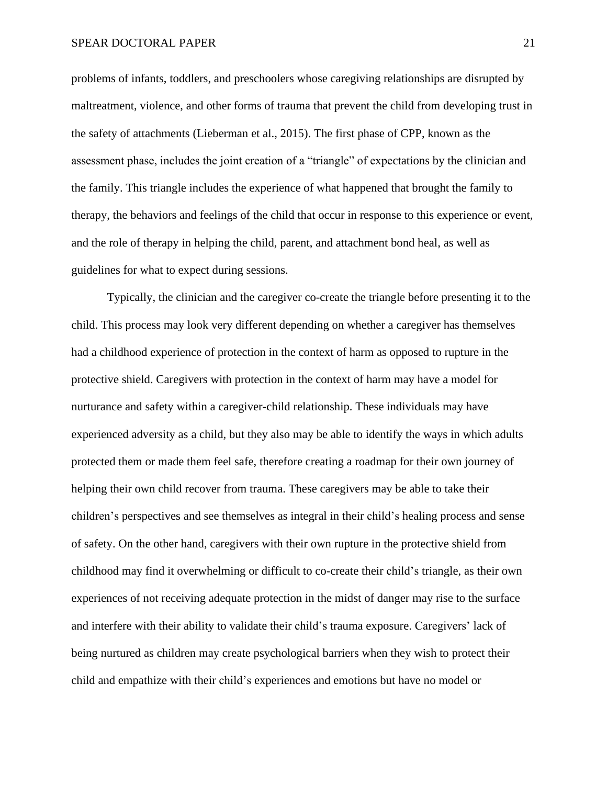problems of infants, toddlers, and preschoolers whose caregiving relationships are disrupted by maltreatment, violence, and other forms of trauma that prevent the child from developing trust in the safety of attachments (Lieberman et al., 2015). The first phase of CPP, known as the assessment phase, includes the joint creation of a "triangle" of expectations by the clinician and the family. This triangle includes the experience of what happened that brought the family to therapy, the behaviors and feelings of the child that occur in response to this experience or event, and the role of therapy in helping the child, parent, and attachment bond heal, as well as guidelines for what to expect during sessions.

Typically, the clinician and the caregiver co-create the triangle before presenting it to the child. This process may look very different depending on whether a caregiver has themselves had a childhood experience of protection in the context of harm as opposed to rupture in the protective shield. Caregivers with protection in the context of harm may have a model for nurturance and safety within a caregiver-child relationship. These individuals may have experienced adversity as a child, but they also may be able to identify the ways in which adults protected them or made them feel safe, therefore creating a roadmap for their own journey of helping their own child recover from trauma. These caregivers may be able to take their children's perspectives and see themselves as integral in their child's healing process and sense of safety. On the other hand, caregivers with their own rupture in the protective shield from childhood may find it overwhelming or difficult to co-create their child's triangle, as their own experiences of not receiving adequate protection in the midst of danger may rise to the surface and interfere with their ability to validate their child's trauma exposure. Caregivers' lack of being nurtured as children may create psychological barriers when they wish to protect their child and empathize with their child's experiences and emotions but have no model or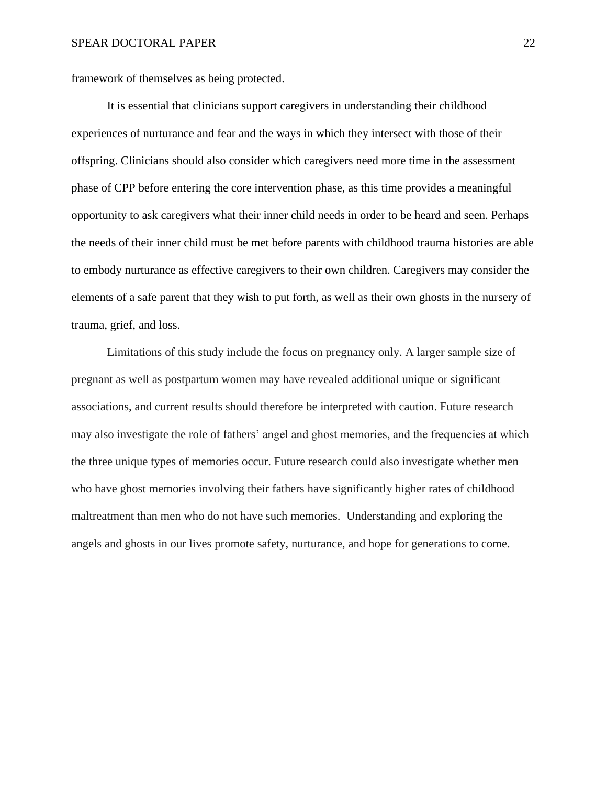framework of themselves as being protected.

It is essential that clinicians support caregivers in understanding their childhood experiences of nurturance and fear and the ways in which they intersect with those of their offspring. Clinicians should also consider which caregivers need more time in the assessment phase of CPP before entering the core intervention phase, as this time provides a meaningful opportunity to ask caregivers what their inner child needs in order to be heard and seen. Perhaps the needs of their inner child must be met before parents with childhood trauma histories are able to embody nurturance as effective caregivers to their own children. Caregivers may consider the elements of a safe parent that they wish to put forth, as well as their own ghosts in the nursery of trauma, grief, and loss.

Limitations of this study include the focus on pregnancy only. A larger sample size of pregnant as well as postpartum women may have revealed additional unique or significant associations, and current results should therefore be interpreted with caution. Future research may also investigate the role of fathers' angel and ghost memories, and the frequencies at which the three unique types of memories occur. Future research could also investigate whether men who have ghost memories involving their fathers have significantly higher rates of childhood maltreatment than men who do not have such memories. Understanding and exploring the angels and ghosts in our lives promote safety, nurturance, and hope for generations to come.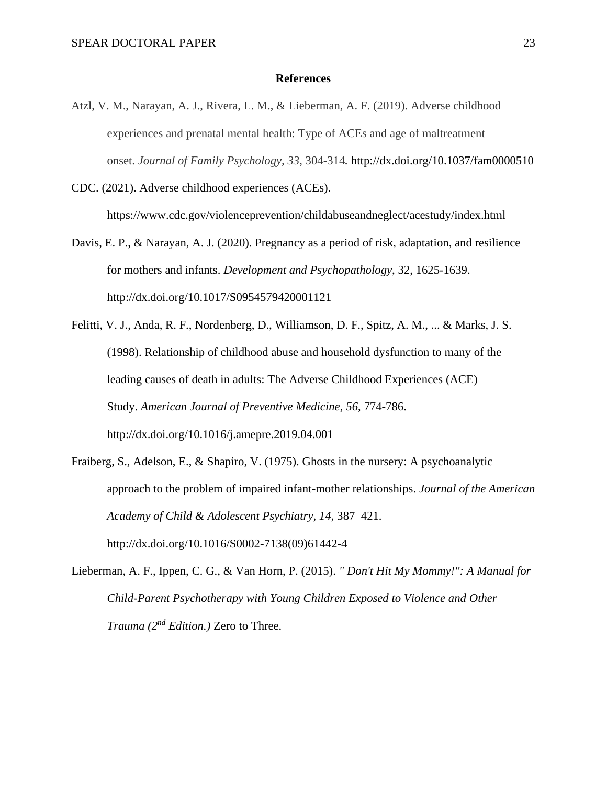#### **References**

Atzl, V. M., Narayan, A. J., Rivera, L. M., & Lieberman, A. F. (2019). Adverse childhood experiences and prenatal mental health: Type of ACEs and age of maltreatment onset. *Journal of Family Psychology, 33*, 304-314*.* http://dx.doi.org/10.1037/fam0000510

CDC. (2021). Adverse childhood experiences (ACEs). <https://www.cdc.gov/violenceprevention/childabuseandneglect/acestudy/index.html>

- Davis, E. P., & Narayan, A. J. (2020). Pregnancy as a period of risk, adaptation, and resilience for mothers and infants. *Development and Psychopathology*, 32, 1625-1639. http://dx.doi.org/10.1017/S0954579420001121
- Felitti, V. J., Anda, R. F., Nordenberg, D., Williamson, D. F., Spitz, A. M., ... & Marks, J. S. (1998). Relationship of childhood abuse and household dysfunction to many of the leading causes of death in adults: The Adverse Childhood Experiences (ACE) Study. *American Journal of Preventive Medicine*, *56*, 774-786. http://dx.doi.org[/10.1016/j.amepre.2019.04.001](https://doi.org/10.1016/j.amepre.2019.04.001)
- Fraiberg, S., Adelson, E., & Shapiro, V. (1975). Ghosts in the nursery: A psychoanalytic approach to the problem of impaired infant-mother relationships. *Journal of the American Academy of Child & Adolescent Psychiatry, 14*, 387–421. http://dx.doi.org/10.1016/S0002-7138(09)61442-4
- Lieberman, A. F., Ippen, C. G., & Van Horn, P. (2015). *" Don't Hit My Mommy!": A Manual for Child-Parent Psychotherapy with Young Children Exposed to Violence and Other Trauma (2nd Edition.)* Zero to Three.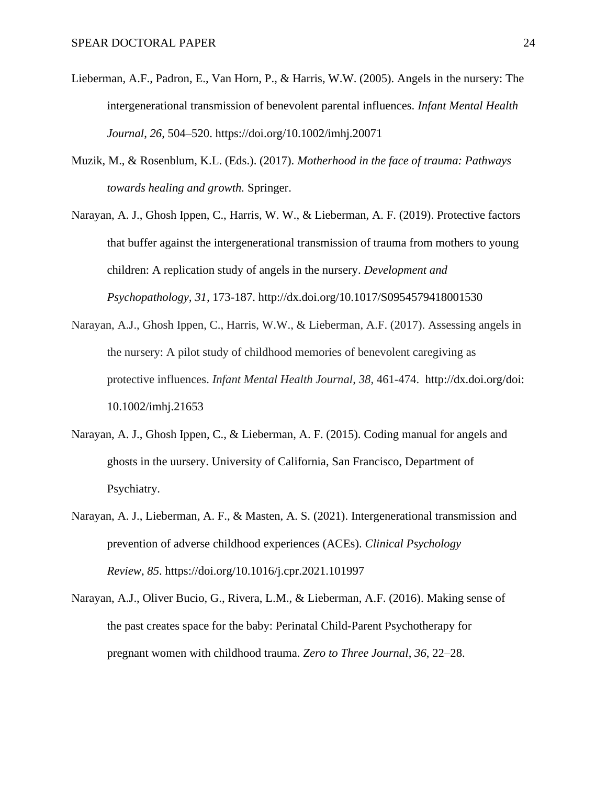- Lieberman, A.F., Padron, E., Van Horn, P., & Harris, W.W. (2005). Angels in the nursery: The intergenerational transmission of benevolent parental influences. *Infant Mental Health Journal*, *26*, 504–520.<https://doi.org/10.1002/imhj.20071>
- Muzik, M., & Rosenblum, K.L. (Eds.). (2017). *Motherhood in the face of trauma: Pathways towards healing and growth.* Springer.
- Narayan, A. J., Ghosh Ippen, C., Harris, W. W., & Lieberman, A. F. (2019). Protective factors that buffer against the intergenerational transmission of trauma from mothers to young children: A replication study of angels in the nursery. *Development and Psychopathology, 31,* 173-187.<http://dx.doi.org/10.1017/S0954579418001530>
- Narayan, A.J., Ghosh Ippen, C., Harris, W.W., & Lieberman, A.F. (2017). Assessing angels in the nursery: A pilot study of childhood memories of benevolent caregiving as protective influences. *Infant Mental Health Journal*, *38*, 461-474. [http://dx.doi.org/doi:](http://dx.doi.org/doi) 10.1002/imhj.21653
- Narayan, A. J., Ghosh Ippen, C., & Lieberman, A. F. (2015). Coding manual for angels and ghosts in the uursery. University of California, San Francisco, Department of Psychiatry.
- Narayan, A. J., Lieberman, A. F., & Masten, A. S. (2021). Intergenerational transmission and prevention of adverse childhood experiences (ACEs). *Clinical Psychology Review*, *85*. https://doi.org/10.1016/j.cpr.2021.101997
- Narayan, A.J., Oliver Bucio, G., Rivera, L.M., & Lieberman, A.F. (2016). Making sense of the past creates space for the baby: Perinatal Child-Parent Psychotherapy for pregnant women with childhood trauma. *Zero to Three Journal*, *36*, 22–28.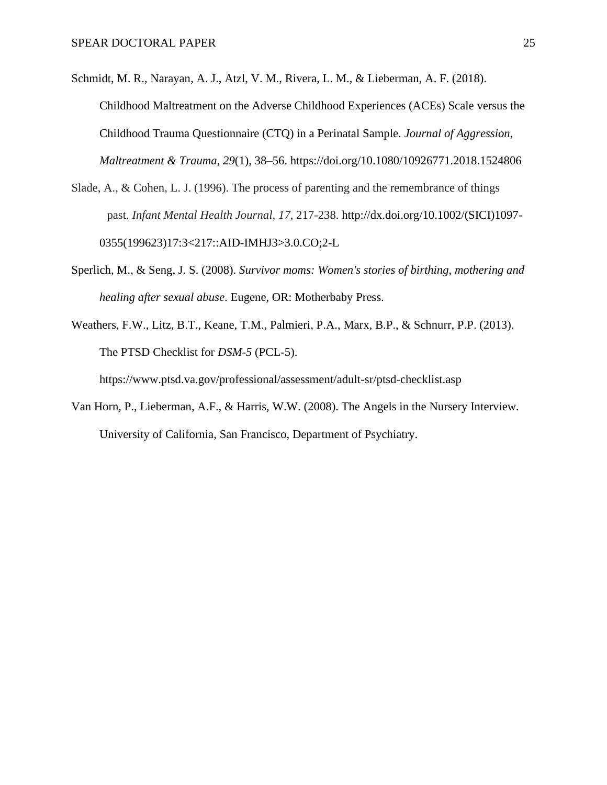- Schmidt, M. R., Narayan, A. J., Atzl, V. M., Rivera, L. M., & Lieberman, A. F. (2018). Childhood Maltreatment on the Adverse Childhood Experiences (ACEs) Scale versus the Childhood Trauma Questionnaire (CTQ) in a Perinatal Sample. *Journal of Aggression, Maltreatment & Trauma*, *29*(1), 38–56.<https://doi.org/10.1080/10926771.2018.1524806>
- Slade, A., & Cohen, L. J. (1996). The process of parenting and the remembrance of things past. *Infant Mental Health Journal, 17*, 217-238. http://dx.doi.org/[10.1002/\(SICI\)1097-](https://doi.org/10.1002/(SICI)1097-0355(199623)17:3%3C217::AID-IMHJ3%3E3.0.CO;2-L) [0355\(199623\)17:3<217::AID-IMHJ3>3.0.CO;2-L](https://doi.org/10.1002/(SICI)1097-0355(199623)17:3%3C217::AID-IMHJ3%3E3.0.CO;2-L)
- Sperlich, M., & Seng, J. S. (2008). *Survivor moms: Women's stories of birthing, mothering and healing after sexual abuse*. Eugene, OR: Motherbaby Press.
- Weathers, F.W., Litz, B.T., Keane, T.M., Palmieri, P.A., Marx, B.P., & Schnurr, P.P. (2013). The PTSD Checklist for *DSM-5* (PCL-5).

<https://www.ptsd.va.gov/professional/assessment/adult-sr/ptsd-checklist.asp>

Van Horn, P., Lieberman, A.F., & Harris, W.W. (2008). The Angels in the Nursery Interview. University of California, San Francisco, Department of Psychiatry.